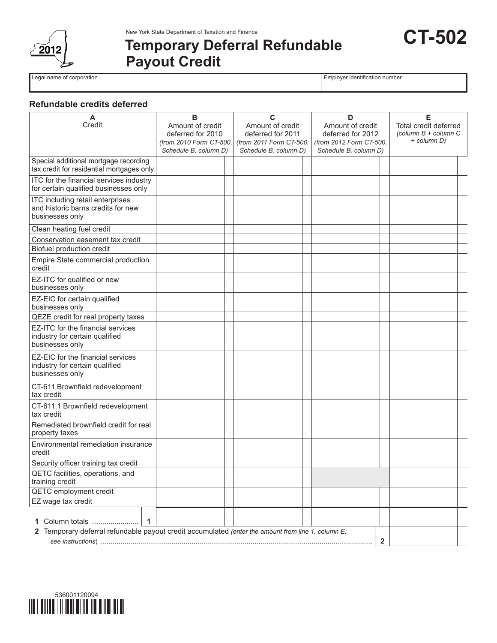

New York State Department of Taxation and Finance

# **Temporary Deferral Refundable Payout Credit**

Legal name of corporation **Employer identification** number

**CT-502**

## **Refundable credits deferred**

| A<br>Credit                                                                                        | в<br>Amount of credit<br>deferred for 2010<br>(from 2010 Form CT-500,<br>Schedule B, column D) | С<br>Amount of credit<br>deferred for 2011<br>(from 2011 Form CT-500,<br>Schedule B, column D) |  | D<br>Amount of credit<br>deferred for 2012<br>(from 2012 Form CT-500.<br>Schedule B, column D) |              | Е<br>Total credit deferred<br>(column $B$ + column $C$<br>+ column D) |  |
|----------------------------------------------------------------------------------------------------|------------------------------------------------------------------------------------------------|------------------------------------------------------------------------------------------------|--|------------------------------------------------------------------------------------------------|--------------|-----------------------------------------------------------------------|--|
| Special additional mortgage recording<br>tax credit for residential mortgages only                 |                                                                                                |                                                                                                |  |                                                                                                |              |                                                                       |  |
| ITC for the financial services industry<br>for certain qualified businesses only                   |                                                                                                |                                                                                                |  |                                                                                                |              |                                                                       |  |
| ITC including retail enterprises<br>and historic barns credits for new<br>businesses only          |                                                                                                |                                                                                                |  |                                                                                                |              |                                                                       |  |
| Clean heating fuel credit                                                                          |                                                                                                |                                                                                                |  |                                                                                                |              |                                                                       |  |
| Conservation easement tax credit                                                                   |                                                                                                |                                                                                                |  |                                                                                                |              |                                                                       |  |
| Biofuel production credit                                                                          |                                                                                                |                                                                                                |  |                                                                                                |              |                                                                       |  |
| Empire State commercial production<br>credit                                                       |                                                                                                |                                                                                                |  |                                                                                                |              |                                                                       |  |
| EZ-ITC for qualified or new<br>businesses only                                                     |                                                                                                |                                                                                                |  |                                                                                                |              |                                                                       |  |
| EZ-EIC for certain qualified<br>businesses only                                                    |                                                                                                |                                                                                                |  |                                                                                                |              |                                                                       |  |
| QEZE credit for real property taxes                                                                |                                                                                                |                                                                                                |  |                                                                                                |              |                                                                       |  |
| EZ-ITC for the financial services<br>industry for certain qualified<br>businesses only             |                                                                                                |                                                                                                |  |                                                                                                |              |                                                                       |  |
| EZ-EIC for the financial services<br>industry for certain qualified<br>businesses only             |                                                                                                |                                                                                                |  |                                                                                                |              |                                                                       |  |
| CT-611 Brownfield redevelopment<br>tax credit                                                      |                                                                                                |                                                                                                |  |                                                                                                |              |                                                                       |  |
| CT-611.1 Brownfield redevelopment<br>tax credit                                                    |                                                                                                |                                                                                                |  |                                                                                                |              |                                                                       |  |
| Remediated brownfield credit for real<br>property taxes                                            |                                                                                                |                                                                                                |  |                                                                                                |              |                                                                       |  |
| Environmental remediation insurance<br>credit                                                      |                                                                                                |                                                                                                |  |                                                                                                |              |                                                                       |  |
| Security officer training tax credit                                                               |                                                                                                |                                                                                                |  |                                                                                                |              |                                                                       |  |
| QETC facilities, operations, and<br>training credit                                                |                                                                                                |                                                                                                |  |                                                                                                |              |                                                                       |  |
| <b>QETC</b> employment credit                                                                      |                                                                                                |                                                                                                |  |                                                                                                |              |                                                                       |  |
| EZ wage tax credit                                                                                 |                                                                                                |                                                                                                |  |                                                                                                |              |                                                                       |  |
| Column totals                                                                                      |                                                                                                |                                                                                                |  |                                                                                                |              |                                                                       |  |
| 2 Temporary deferral refundable payout credit accumulated (enter the amount from line 1, column E; |                                                                                                |                                                                                                |  |                                                                                                |              |                                                                       |  |
|                                                                                                    |                                                                                                |                                                                                                |  |                                                                                                | $\mathbf{2}$ |                                                                       |  |